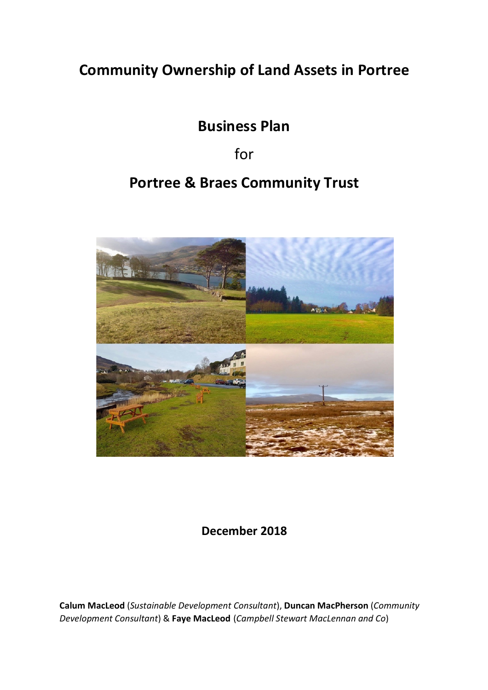## **Community Ownership of Land Assets in Portree**

# **Business Plan**

## for

## **Portree & Braes Community Trust**



## **December 2018**

**Calum MacLeod** (*Sustainable Development Consultant*), **Duncan MacPherson** (*Community Development Consultant*) & **Faye MacLeod** (*Campbell Stewart MacLennan and Co*)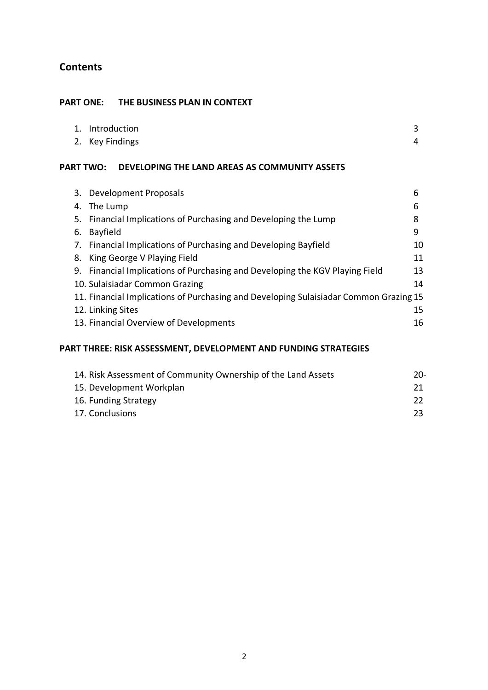## **Contents**

#### **PART ONE: THE BUSINESS PLAN IN CONTEXT**

| 1. Introduction |  |
|-----------------|--|
| 2. Key Findings |  |

#### **PART TWO: DEVELOPING THE LAND AREAS AS COMMUNITY ASSETS**

|    | 3. Development Proposals                                                              | 6  |
|----|---------------------------------------------------------------------------------------|----|
|    | 4. The Lump                                                                           | 6  |
|    | 5. Financial Implications of Purchasing and Developing the Lump                       | 8  |
| 6. | Bayfield                                                                              | 9  |
|    | 7. Financial Implications of Purchasing and Developing Bayfield                       | 10 |
| 8. | King George V Playing Field                                                           | 11 |
|    | 9. Financial Implications of Purchasing and Developing the KGV Playing Field          | 13 |
|    | 10. Sulaisiadar Common Grazing                                                        | 14 |
|    | 11. Financial Implications of Purchasing and Developing Sulaisiadar Common Grazing 15 |    |
|    | 12. Linking Sites                                                                     | 15 |
|    | 13. Financial Overview of Developments                                                | 16 |

## **PART THREE: RISK ASSESSMENT, DEVELOPMENT AND FUNDING STRATEGIES**

| 14. Risk Assessment of Community Ownership of the Land Assets | 20- |
|---------------------------------------------------------------|-----|
| 15. Development Workplan                                      |     |
| 16. Funding Strategy                                          |     |
| 17. Conclusions                                               | 23. |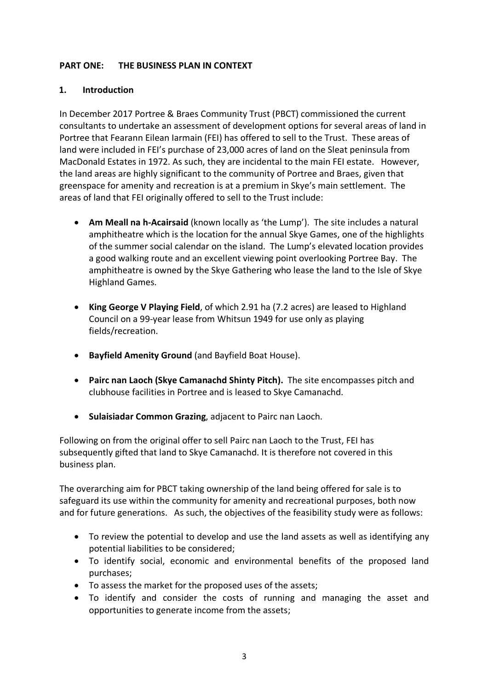#### **PART ONE: THE BUSINESS PLAN IN CONTEXT**

#### **1. Introduction**

In December 2017 Portree & Braes Community Trust (PBCT) commissioned the current consultants to undertake an assessment of development options for several areas of land in Portree that Fearann Eilean Iarmain (FEI) has offered to sell to the Trust. These areas of land were included in FEI's purchase of 23,000 acres of land on the Sleat peninsula from MacDonald Estates in 1972. As such, they are incidental to the main FEI estate. However, the land areas are highly significant to the community of Portree and Braes, given that greenspace for amenity and recreation is at a premium in Skye's main settlement. The areas of land that FEI originally offered to sell to the Trust include:

- **Am Meall na h-Acairsaid** (known locally as 'the Lump'). The site includes a natural amphitheatre which is the location for the annual Skye Games, one of the highlights of the summer social calendar on the island. The Lump's elevated location provides a good walking route and an excellent viewing point overlooking Portree Bay. The amphitheatre is owned by the Skye Gathering who lease the land to the Isle of Skye Highland Games.
- **King George V Playing Field**, of which 2.91 ha (7.2 acres) are leased to Highland Council on a 99-year lease from Whitsun 1949 for use only as playing fields/recreation.
- **Bayfield Amenity Ground** (and Bayfield Boat House).
- **Pairc nan Laoch (Skye Camanachd Shinty Pitch).** The site encompasses pitch and clubhouse facilities in Portree and is leased to Skye Camanachd.
- **Sulaisiadar Common Grazing**, adjacent to Pairc nan Laoch.

Following on from the original offer to sell Pairc nan Laoch to the Trust, FEI has subsequently gifted that land to Skye Camanachd. It is therefore not covered in this business plan.

The overarching aim for PBCT taking ownership of the land being offered for sale is to safeguard its use within the community for amenity and recreational purposes, both now and for future generations. As such, the objectives of the feasibility study were as follows:

- To review the potential to develop and use the land assets as well as identifying any potential liabilities to be considered;
- To identify social, economic and environmental benefits of the proposed land purchases;
- To assess the market for the proposed uses of the assets;
- To identify and consider the costs of running and managing the asset and opportunities to generate income from the assets;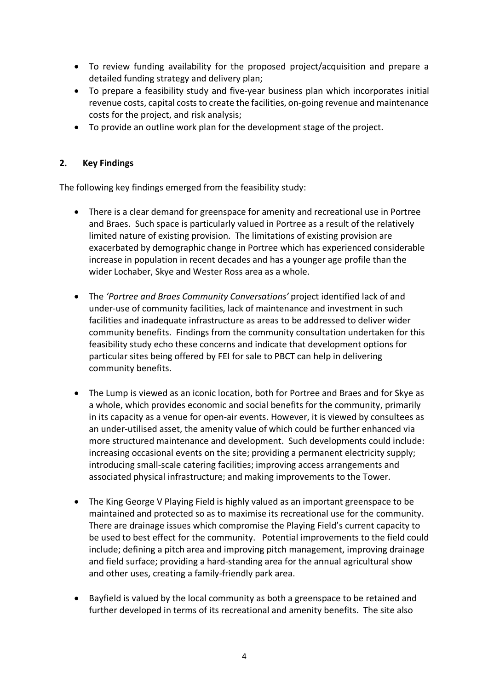- To review funding availability for the proposed project/acquisition and prepare a detailed funding strategy and delivery plan;
- To prepare a feasibility study and five-year business plan which incorporates initial revenue costs, capital costs to create the facilities, on-going revenue and maintenance costs for the project, and risk analysis;
- To provide an outline work plan for the development stage of the project.

### **2. Key Findings**

The following key findings emerged from the feasibility study:

- There is a clear demand for greenspace for amenity and recreational use in Portree and Braes. Such space is particularly valued in Portree as a result of the relatively limited nature of existing provision. The limitations of existing provision are exacerbated by demographic change in Portree which has experienced considerable increase in population in recent decades and has a younger age profile than the wider Lochaber, Skye and Wester Ross area as a whole.
- The *'Portree and Braes Community Conversations'* project identified lack of and under-use of community facilities, lack of maintenance and investment in such facilities and inadequate infrastructure as areas to be addressed to deliver wider community benefits. Findings from the community consultation undertaken for this feasibility study echo these concerns and indicate that development options for particular sites being offered by FEI for sale to PBCT can help in delivering community benefits.
- The Lump is viewed as an iconic location, both for Portree and Braes and for Skye as a whole, which provides economic and social benefits for the community, primarily in its capacity as a venue for open-air events. However, it is viewed by consultees as an under-utilised asset, the amenity value of which could be further enhanced via more structured maintenance and development. Such developments could include: increasing occasional events on the site; providing a permanent electricity supply; introducing small-scale catering facilities; improving access arrangements and associated physical infrastructure; and making improvements to the Tower.
- The King George V Playing Field is highly valued as an important greenspace to be maintained and protected so as to maximise its recreational use for the community. There are drainage issues which compromise the Playing Field's current capacity to be used to best effect for the community. Potential improvements to the field could include; defining a pitch area and improving pitch management, improving drainage and field surface; providing a hard-standing area for the annual agricultural show and other uses, creating a family-friendly park area.
- Bayfield is valued by the local community as both a greenspace to be retained and further developed in terms of its recreational and amenity benefits. The site also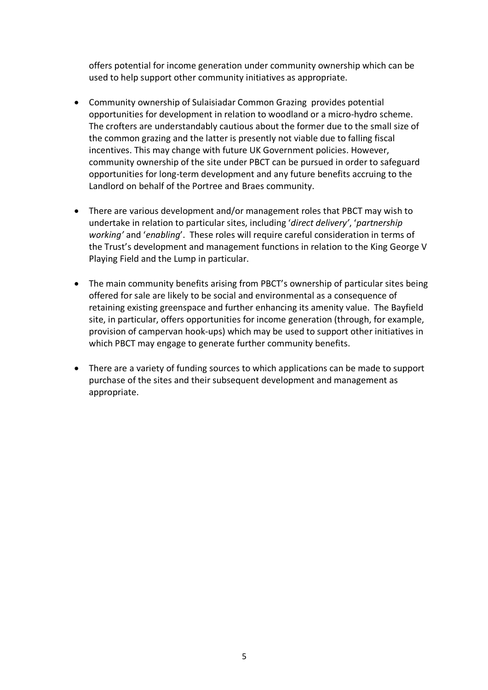offers potential for income generation under community ownership which can be used to help support other community initiatives as appropriate.

- Community ownership of Sulaisiadar Common Grazing provides potential opportunities for development in relation to woodland or a micro-hydro scheme. The crofters are understandably cautious about the former due to the small size of the common grazing and the latter is presently not viable due to falling fiscal incentives. This may change with future UK Government policies. However, community ownership of the site under PBCT can be pursued in order to safeguard opportunities for long-term development and any future benefits accruing to the Landlord on behalf of the Portree and Braes community.
- There are various development and/or management roles that PBCT may wish to undertake in relation to particular sites, including '*direct delivery'*, '*partnership working'* and '*enabling*'. These roles will require careful consideration in terms of the Trust's development and management functions in relation to the King George V Playing Field and the Lump in particular.
- The main community benefits arising from PBCT's ownership of particular sites being offered for sale are likely to be social and environmental as a consequence of retaining existing greenspace and further enhancing its amenity value. The Bayfield site, in particular, offers opportunities for income generation (through, for example, provision of campervan hook-ups) which may be used to support other initiatives in which PBCT may engage to generate further community benefits.
- There are a variety of funding sources to which applications can be made to support purchase of the sites and their subsequent development and management as appropriate.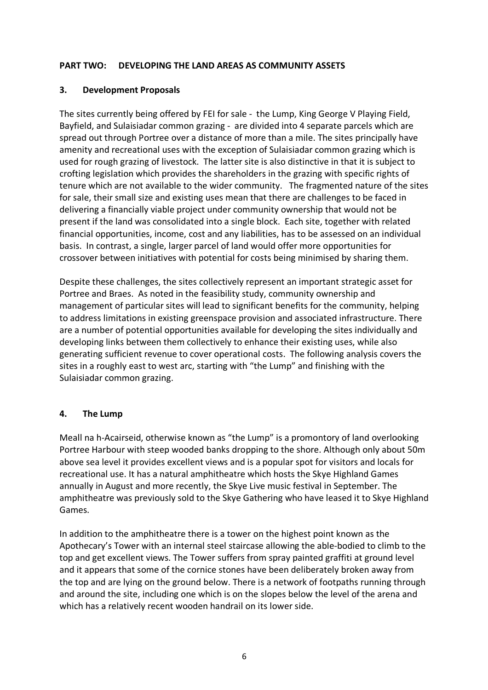#### **PART TWO: DEVELOPING THE LAND AREAS AS COMMUNITY ASSETS**

#### **3. Development Proposals**

The sites currently being offered by FEI for sale - the Lump, King George V Playing Field, Bayfield, and Sulaisiadar common grazing - are divided into 4 separate parcels which are spread out through Portree over a distance of more than a mile. The sites principally have amenity and recreational uses with the exception of Sulaisiadar common grazing which is used for rough grazing of livestock. The latter site is also distinctive in that it is subject to crofting legislation which provides the shareholders in the grazing with specific rights of tenure which are not available to the wider community. The fragmented nature of the sites for sale, their small size and existing uses mean that there are challenges to be faced in delivering a financially viable project under community ownership that would not be present if the land was consolidated into a single block. Each site, together with related financial opportunities, income, cost and any liabilities, has to be assessed on an individual basis. In contrast, a single, larger parcel of land would offer more opportunities for crossover between initiatives with potential for costs being minimised by sharing them.

Despite these challenges, the sites collectively represent an important strategic asset for Portree and Braes. As noted in the feasibility study, community ownership and management of particular sites will lead to significant benefits for the community, helping to address limitations in existing greenspace provision and associated infrastructure. There are a number of potential opportunities available for developing the sites individually and developing links between them collectively to enhance their existing uses, while also generating sufficient revenue to cover operational costs. The following analysis covers the sites in a roughly east to west arc, starting with "the Lump" and finishing with the Sulaisiadar common grazing.

### **4. The Lump**

Meall na h-Acairseid, otherwise known as "the Lump" is a promontory of land overlooking Portree Harbour with steep wooded banks dropping to the shore. Although only about 50m above sea level it provides excellent views and is a popular spot for visitors and locals for recreational use. It has a natural amphitheatre which hosts the Skye Highland Games annually in August and more recently, the Skye Live music festival in September. The amphitheatre was previously sold to the Skye Gathering who have leased it to Skye Highland Games.

In addition to the amphitheatre there is a tower on the highest point known as the Apothecary's Tower with an internal steel staircase allowing the able-bodied to climb to the top and get excellent views. The Tower suffers from spray painted graffiti at ground level and it appears that some of the cornice stones have been deliberately broken away from the top and are lying on the ground below. There is a network of footpaths running through and around the site, including one which is on the slopes below the level of the arena and which has a relatively recent wooden handrail on its lower side.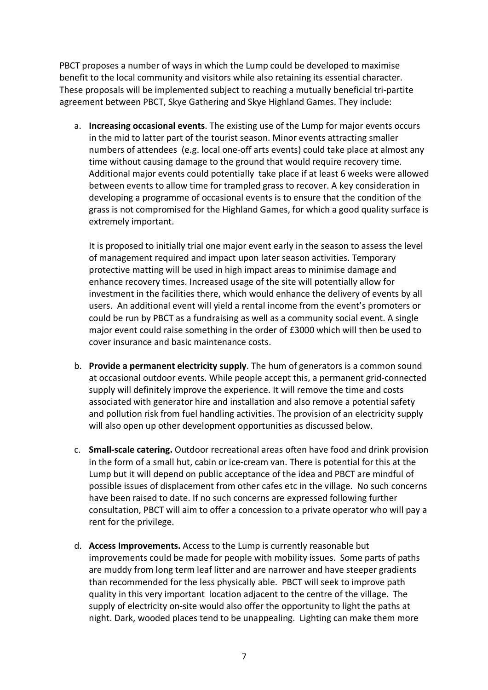PBCT proposes a number of ways in which the Lump could be developed to maximise benefit to the local community and visitors while also retaining its essential character. These proposals will be implemented subject to reaching a mutually beneficial tri-partite agreement between PBCT, Skye Gathering and Skye Highland Games. They include:

a. **Increasing occasional events**. The existing use of the Lump for major events occurs in the mid to latter part of the tourist season. Minor events attracting smaller numbers of attendees (e.g. local one-off arts events) could take place at almost any time without causing damage to the ground that would require recovery time. Additional major events could potentially take place if at least 6 weeks were allowed between events to allow time for trampled grass to recover. A key consideration in developing a programme of occasional events is to ensure that the condition of the grass is not compromised for the Highland Games, for which a good quality surface is extremely important.

It is proposed to initially trial one major event early in the season to assess the level of management required and impact upon later season activities. Temporary protective matting will be used in high impact areas to minimise damage and enhance recovery times. Increased usage of the site will potentially allow for investment in the facilities there, which would enhance the delivery of events by all users. An additional event will yield a rental income from the event's promoters or could be run by PBCT as a fundraising as well as a community social event. A single major event could raise something in the order of £3000 which will then be used to cover insurance and basic maintenance costs.

- b. **Provide a permanent electricity supply**. The hum of generators is a common sound at occasional outdoor events. While people accept this, a permanent grid-connected supply will definitely improve the experience. It will remove the time and costs associated with generator hire and installation and also remove a potential safety and pollution risk from fuel handling activities. The provision of an electricity supply will also open up other development opportunities as discussed below.
- c. **Small-scale catering.** Outdoor recreational areas often have food and drink provision in the form of a small hut, cabin or ice-cream van. There is potential for this at the Lump but it will depend on public acceptance of the idea and PBCT are mindful of possible issues of displacement from other cafes etc in the village. No such concerns have been raised to date. If no such concerns are expressed following further consultation, PBCT will aim to offer a concession to a private operator who will pay a rent for the privilege.
- d. **Access Improvements.** Access to the Lump is currently reasonable but improvements could be made for people with mobility issues. Some parts of paths are muddy from long term leaf litter and are narrower and have steeper gradients than recommended for the less physically able. PBCT will seek to improve path quality in this very important location adjacent to the centre of the village. The supply of electricity on-site would also offer the opportunity to light the paths at night. Dark, wooded places tend to be unappealing. Lighting can make them more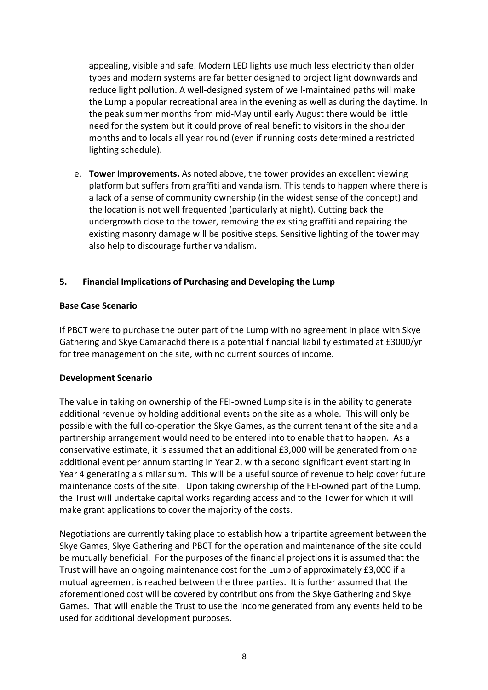appealing, visible and safe. Modern LED lights use much less electricity than older types and modern systems are far better designed to project light downwards and reduce light pollution. A well-designed system of well-maintained paths will make the Lump a popular recreational area in the evening as well as during the daytime. In the peak summer months from mid-May until early August there would be little need for the system but it could prove of real benefit to visitors in the shoulder months and to locals all year round (even if running costs determined a restricted lighting schedule).

e. **Tower Improvements.** As noted above, the tower provides an excellent viewing platform but suffers from graffiti and vandalism. This tends to happen where there is a lack of a sense of community ownership (in the widest sense of the concept) and the location is not well frequented (particularly at night). Cutting back the undergrowth close to the tower, removing the existing graffiti and repairing the existing masonry damage will be positive steps. Sensitive lighting of the tower may also help to discourage further vandalism.

### **5. Financial Implications of Purchasing and Developing the Lump**

#### **Base Case Scenario**

If PBCT were to purchase the outer part of the Lump with no agreement in place with Skye Gathering and Skye Camanachd there is a potential financial liability estimated at £3000/yr for tree management on the site, with no current sources of income.

#### **Development Scenario**

The value in taking on ownership of the FEI-owned Lump site is in the ability to generate additional revenue by holding additional events on the site as a whole. This will only be possible with the full co-operation the Skye Games, as the current tenant of the site and a partnership arrangement would need to be entered into to enable that to happen. As a conservative estimate, it is assumed that an additional £3,000 will be generated from one additional event per annum starting in Year 2, with a second significant event starting in Year 4 generating a similar sum. This will be a useful source of revenue to help cover future maintenance costs of the site. Upon taking ownership of the FEI-owned part of the Lump, the Trust will undertake capital works regarding access and to the Tower for which it will make grant applications to cover the majority of the costs.

Negotiations are currently taking place to establish how a tripartite agreement between the Skye Games, Skye Gathering and PBCT for the operation and maintenance of the site could be mutually beneficial. For the purposes of the financial projections it is assumed that the Trust will have an ongoing maintenance cost for the Lump of approximately £3,000 if a mutual agreement is reached between the three parties. It is further assumed that the aforementioned cost will be covered by contributions from the Skye Gathering and Skye Games. That will enable the Trust to use the income generated from any events held to be used for additional development purposes.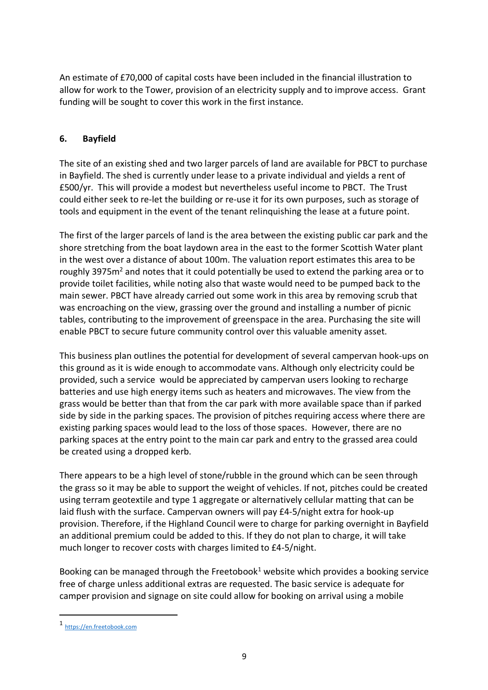An estimate of £70,000 of capital costs have been included in the financial illustration to allow for work to the Tower, provision of an electricity supply and to improve access. Grant funding will be sought to cover this work in the first instance.

## **6. Bayfield**

The site of an existing shed and two larger parcels of land are available for PBCT to purchase in Bayfield. The shed is currently under lease to a private individual and yields a rent of £500/yr. This will provide a modest but nevertheless useful income to PBCT. The Trust could either seek to re-let the building or re-use it for its own purposes, such as storage of tools and equipment in the event of the tenant relinquishing the lease at a future point.

The first of the larger parcels of land is the area between the existing public car park and the shore stretching from the boat laydown area in the east to the former Scottish Water plant in the west over a distance of about 100m. The valuation report estimates this area to be roughly 3975m<sup>2</sup> and notes that it could potentially be used to extend the parking area or to provide toilet facilities, while noting also that waste would need to be pumped back to the main sewer. PBCT have already carried out some work in this area by removing scrub that was encroaching on the view, grassing over the ground and installing a number of picnic tables, contributing to the improvement of greenspace in the area. Purchasing the site will enable PBCT to secure future community control over this valuable amenity asset.

This business plan outlines the potential for development of several campervan hook-ups on this ground as it is wide enough to accommodate vans. Although only electricity could be provided, such a service would be appreciated by campervan users looking to recharge batteries and use high energy items such as heaters and microwaves. The view from the grass would be better than that from the car park with more available space than if parked side by side in the parking spaces. The provision of pitches requiring access where there are existing parking spaces would lead to the loss of those spaces. However, there are no parking spaces at the entry point to the main car park and entry to the grassed area could be created using a dropped kerb.

There appears to be a high level of stone/rubble in the ground which can be seen through the grass so it may be able to support the weight of vehicles. If not, pitches could be created using terram geotextile and type 1 aggregate or alternatively cellular matting that can be laid flush with the surface. Campervan owners will pay £4-5/night extra for hook-up provision. Therefore, if the Highland Council were to charge for parking overnight in Bayfield an additional premium could be added to this. If they do not plan to charge, it will take much longer to recover costs with charges limited to £4-5/night.

Booking can be managed through the Freetobook<sup>1</sup> website which provides a booking service free of charge unless additional extras are requested. The basic service is adequate for camper provision and signage on site could allow for booking on arrival using a mobile

 <sup>1</sup> https://en.freetobook.com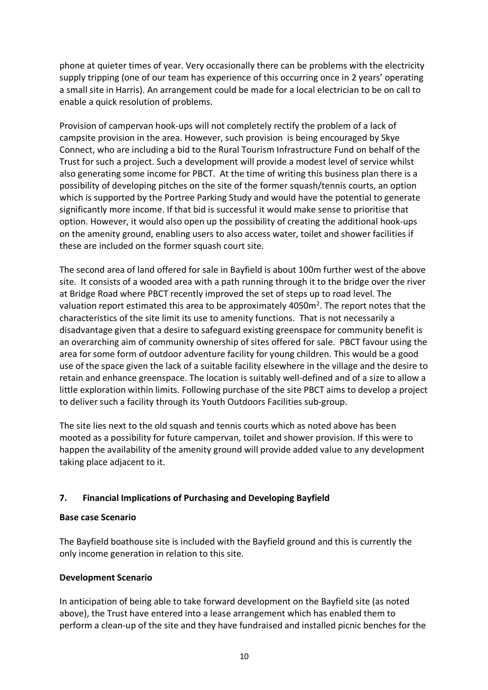phone at quieter times of year. Very occasionally there can be problems with the electricity supply tripping (one of our team has experience of this occurring once in 2 years' operating a small site in Harris). An arrangement could be made for a local electrician to be on call to enable a quick resolution of problems.

Provision of campervan hook-ups will not completely rectify the problem of a lack of campsite provision in the area. However, such provision is being encouraged by Skye Connect, who are including a bid to the Rural Tourism Infrastructure Fund on behalf of the Trust for such a project. Such a development will provide a modest level of service whilst also generating some income for PBCT. At the time of writing this business plan there is a possibility of developing pitches on the site of the former squash/tennis courts, an option which is supported by the Portree Parking Study and would have the potential to generate significantly more income. If that bid is successful it would make sense to prioritise that option. However, it would also open up the possibility of creating the additional hook-ups on the amenity ground, enabling users to also access water, toilet and shower facilities if these are included on the former squash court site.

The second area of land offered for sale in Bayfield is about 100m further west of the above site. It consists of a wooded area with a path running through it to the bridge over the river at Bridge Road where PBCT recently improved the set of steps up to road level. The valuation report estimated this area to be approximately 4050m<sup>2</sup>. The report notes that the characteristics of the site limit its use to amenity functions. That is not necessarily a disadvantage given that a desire to safeguard existing greenspace for community benefit is an overarching aim of community ownership of sites offered for sale. PBCT favour using the area for some form of outdoor adventure facility for young children. This would be a good use of the space given the lack of a suitable facility elsewhere in the village and the desire to retain and enhance greenspace. The location is suitably well-defined and of a size to allow a little exploration within limits. Following purchase of the site PBCT aims to develop a project to deliver such a facility through its Youth Outdoors Facilities sub-group.

The site lies next to the old squash and tennis courts which as noted above has been mooted as a possibility for future campervan, toilet and shower provision. If this were to happen the availability of the amenity ground will provide added value to any development taking place adjacent to it.

### **7. Financial Implications of Purchasing and Developing Bayfield**

#### **Base case Scenario**

The Bayfield boathouse site is included with the Bayfield ground and this is currently the only income generation in relation to this site.

### **Development Scenario**

In anticipation of being able to take forward development on the Bayfield site (as noted above), the Trust have entered into a lease arrangement which has enabled them to perform a clean-up of the site and they have fundraised and installed picnic benches for the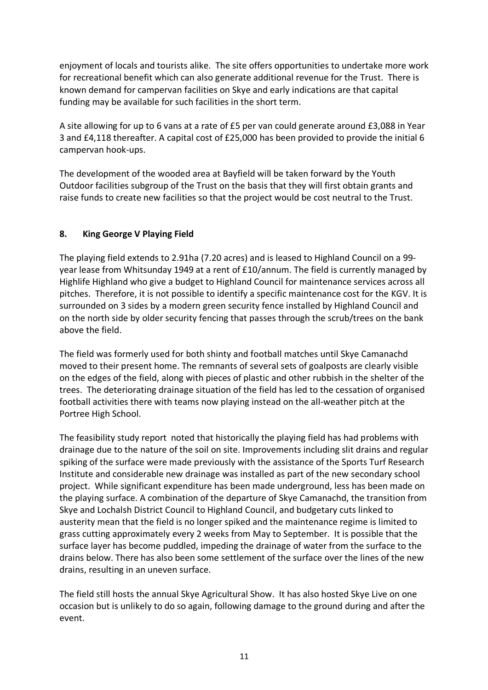enjoyment of locals and tourists alike. The site offers opportunities to undertake more work for recreational benefit which can also generate additional revenue for the Trust. There is known demand for campervan facilities on Skye and early indications are that capital funding may be available for such facilities in the short term.

A site allowing for up to 6 vans at a rate of £5 per van could generate around £3,088 in Year 3 and £4,118 thereafter. A capital cost of £25,000 has been provided to provide the initial 6 campervan hook-ups.

The development of the wooded area at Bayfield will be taken forward by the Youth Outdoor facilities subgroup of the Trust on the basis that they will first obtain grants and raise funds to create new facilities so that the project would be cost neutral to the Trust.

## **8. King George V Playing Field**

The playing field extends to 2.91ha (7.20 acres) and is leased to Highland Council on a 99 year lease from Whitsunday 1949 at a rent of £10/annum. The field is currently managed by Highlife Highland who give a budget to Highland Council for maintenance services across all pitches. Therefore, it is not possible to identify a specific maintenance cost for the KGV. It is surrounded on 3 sides by a modern green security fence installed by Highland Council and on the north side by older security fencing that passes through the scrub/trees on the bank above the field.

The field was formerly used for both shinty and football matches until Skye Camanachd moved to their present home. The remnants of several sets of goalposts are clearly visible on the edges of the field, along with pieces of plastic and other rubbish in the shelter of the trees. The deteriorating drainage situation of the field has led to the cessation of organised football activities there with teams now playing instead on the all-weather pitch at the Portree High School.

The feasibility study report noted that historically the playing field has had problems with drainage due to the nature of the soil on site. Improvements including slit drains and regular spiking of the surface were made previously with the assistance of the Sports Turf Research Institute and considerable new drainage was installed as part of the new secondary school project. While significant expenditure has been made underground, less has been made on the playing surface. A combination of the departure of Skye Camanachd, the transition from Skye and Lochalsh District Council to Highland Council, and budgetary cuts linked to austerity mean that the field is no longer spiked and the maintenance regime is limited to grass cutting approximately every 2 weeks from May to September. It is possible that the surface layer has become puddled, impeding the drainage of water from the surface to the drains below. There has also been some settlement of the surface over the lines of the new drains, resulting in an uneven surface.

The field still hosts the annual Skye Agricultural Show. It has also hosted Skye Live on one occasion but is unlikely to do so again, following damage to the ground during and after the event.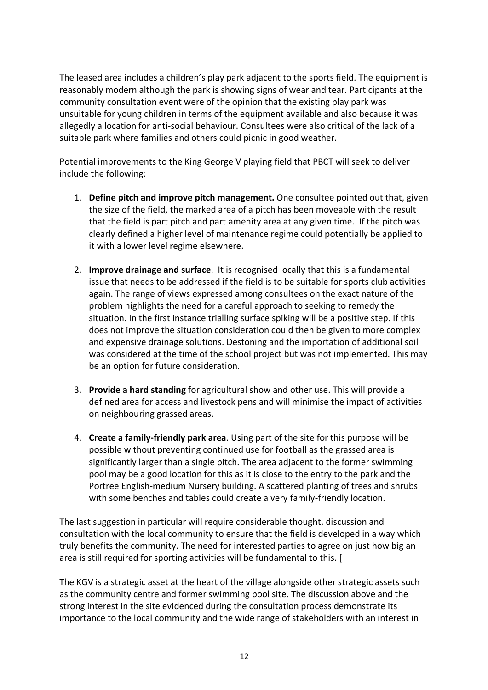The leased area includes a children's play park adjacent to the sports field. The equipment is reasonably modern although the park is showing signs of wear and tear. Participants at the community consultation event were of the opinion that the existing play park was unsuitable for young children in terms of the equipment available and also because it was allegedly a location for anti-social behaviour. Consultees were also critical of the lack of a suitable park where families and others could picnic in good weather.

Potential improvements to the King George V playing field that PBCT will seek to deliver include the following:

- 1. **Define pitch and improve pitch management.** One consultee pointed out that, given the size of the field, the marked area of a pitch has been moveable with the result that the field is part pitch and part amenity area at any given time. If the pitch was clearly defined a higher level of maintenance regime could potentially be applied to it with a lower level regime elsewhere.
- 2. **Improve drainage and surface**. It is recognised locally that this is a fundamental issue that needs to be addressed if the field is to be suitable for sports club activities again. The range of views expressed among consultees on the exact nature of the problem highlights the need for a careful approach to seeking to remedy the situation. In the first instance trialling surface spiking will be a positive step. If this does not improve the situation consideration could then be given to more complex and expensive drainage solutions. Destoning and the importation of additional soil was considered at the time of the school project but was not implemented. This may be an option for future consideration.
- 3. **Provide a hard standing** for agricultural show and other use. This will provide a defined area for access and livestock pens and will minimise the impact of activities on neighbouring grassed areas.
- 4. **Create a family-friendly park area**. Using part of the site for this purpose will be possible without preventing continued use for football as the grassed area is significantly larger than a single pitch. The area adjacent to the former swimming pool may be a good location for this as it is close to the entry to the park and the Portree English-medium Nursery building. A scattered planting of trees and shrubs with some benches and tables could create a very family-friendly location.

The last suggestion in particular will require considerable thought, discussion and consultation with the local community to ensure that the field is developed in a way which truly benefits the community. The need for interested parties to agree on just how big an area is still required for sporting activities will be fundamental to this. [

The KGV is a strategic asset at the heart of the village alongside other strategic assets such as the community centre and former swimming pool site. The discussion above and the strong interest in the site evidenced during the consultation process demonstrate its importance to the local community and the wide range of stakeholders with an interest in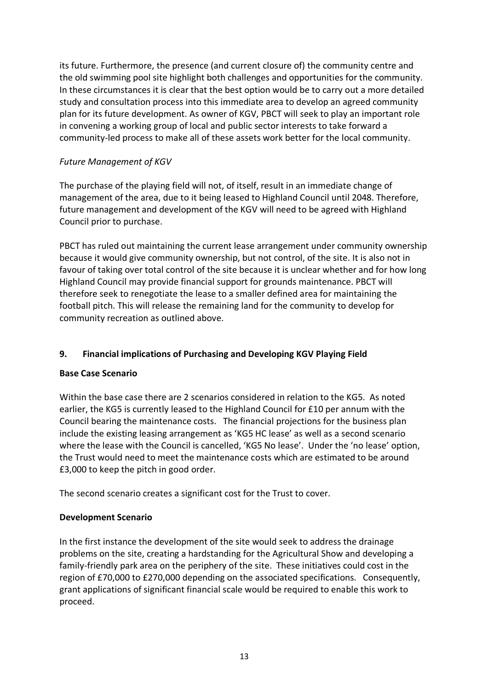its future. Furthermore, the presence (and current closure of) the community centre and the old swimming pool site highlight both challenges and opportunities for the community. In these circumstances it is clear that the best option would be to carry out a more detailed study and consultation process into this immediate area to develop an agreed community plan for its future development. As owner of KGV, PBCT will seek to play an important role in convening a working group of local and public sector interests to take forward a community-led process to make all of these assets work better for the local community.

## *Future Management of KGV*

The purchase of the playing field will not, of itself, result in an immediate change of management of the area, due to it being leased to Highland Council until 2048. Therefore, future management and development of the KGV will need to be agreed with Highland Council prior to purchase.

PBCT has ruled out maintaining the current lease arrangement under community ownership because it would give community ownership, but not control, of the site. It is also not in favour of taking over total control of the site because it is unclear whether and for how long Highland Council may provide financial support for grounds maintenance. PBCT will therefore seek to renegotiate the lease to a smaller defined area for maintaining the football pitch. This will release the remaining land for the community to develop for community recreation as outlined above.

## **9. Financial implications of Purchasing and Developing KGV Playing Field**

### **Base Case Scenario**

Within the base case there are 2 scenarios considered in relation to the KG5. As noted earlier, the KG5 is currently leased to the Highland Council for £10 per annum with the Council bearing the maintenance costs. The financial projections for the business plan include the existing leasing arrangement as 'KG5 HC lease' as well as a second scenario where the lease with the Council is cancelled, 'KG5 No lease'. Under the 'no lease' option, the Trust would need to meet the maintenance costs which are estimated to be around £3,000 to keep the pitch in good order.

The second scenario creates a significant cost for the Trust to cover.

### **Development Scenario**

In the first instance the development of the site would seek to address the drainage problems on the site, creating a hardstanding for the Agricultural Show and developing a family-friendly park area on the periphery of the site. These initiatives could cost in the region of £70,000 to £270,000 depending on the associated specifications. Consequently, grant applications of significant financial scale would be required to enable this work to proceed.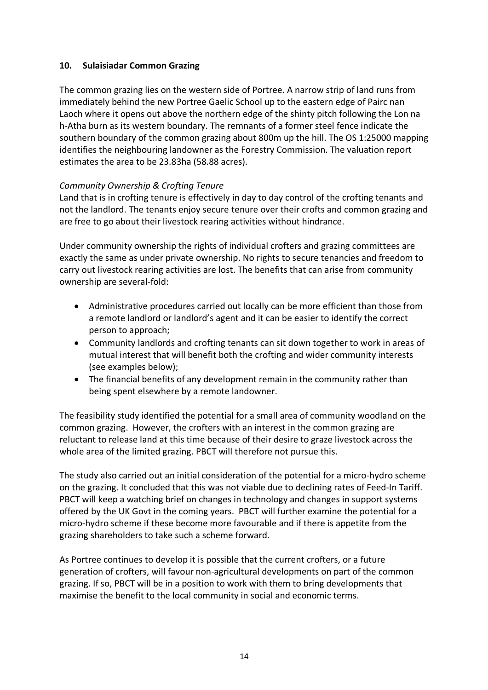### **10. Sulaisiadar Common Grazing**

The common grazing lies on the western side of Portree. A narrow strip of land runs from immediately behind the new Portree Gaelic School up to the eastern edge of Pairc nan Laoch where it opens out above the northern edge of the shinty pitch following the Lon na h-Atha burn as its western boundary. The remnants of a former steel fence indicate the southern boundary of the common grazing about 800m up the hill. The OS 1:25000 mapping identifies the neighbouring landowner as the Forestry Commission. The valuation report estimates the area to be 23.83ha (58.88 acres).

## *Community Ownership & Crofting Tenure*

Land that is in crofting tenure is effectively in day to day control of the crofting tenants and not the landlord. The tenants enjoy secure tenure over their crofts and common grazing and are free to go about their livestock rearing activities without hindrance.

Under community ownership the rights of individual crofters and grazing committees are exactly the same as under private ownership. No rights to secure tenancies and freedom to carry out livestock rearing activities are lost. The benefits that can arise from community ownership are several-fold:

- Administrative procedures carried out locally can be more efficient than those from a remote landlord or landlord's agent and it can be easier to identify the correct person to approach;
- Community landlords and crofting tenants can sit down together to work in areas of mutual interest that will benefit both the crofting and wider community interests (see examples below);
- The financial benefits of any development remain in the community rather than being spent elsewhere by a remote landowner.

The feasibility study identified the potential for a small area of community woodland on the common grazing. However, the crofters with an interest in the common grazing are reluctant to release land at this time because of their desire to graze livestock across the whole area of the limited grazing. PBCT will therefore not pursue this.

The study also carried out an initial consideration of the potential for a micro-hydro scheme on the grazing. It concluded that this was not viable due to declining rates of Feed-In Tariff. PBCT will keep a watching brief on changes in technology and changes in support systems offered by the UK Govt in the coming years. PBCT will further examine the potential for a micro-hydro scheme if these become more favourable and if there is appetite from the grazing shareholders to take such a scheme forward.

As Portree continues to develop it is possible that the current crofters, or a future generation of crofters, will favour non-agricultural developments on part of the common grazing. If so, PBCT will be in a position to work with them to bring developments that maximise the benefit to the local community in social and economic terms.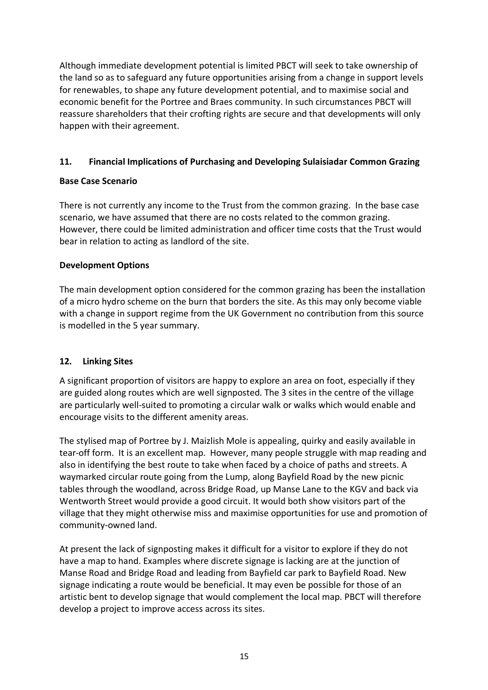Although immediate development potential is limited PBCT will seek to take ownership of the land so as to safeguard any future opportunities arising from a change in support levels for renewables, to shape any future development potential, and to maximise social and economic benefit for the Portree and Braes community. In such circumstances PBCT will reassure shareholders that their crofting rights are secure and that developments will only happen with their agreement.

## **11. Financial Implications of Purchasing and Developing Sulaisiadar Common Grazing**

### **Base Case Scenario**

There is not currently any income to the Trust from the common grazing. In the base case scenario, we have assumed that there are no costs related to the common grazing. However, there could be limited administration and officer time costs that the Trust would bear in relation to acting as landlord of the site.

### **Development Options**

The main development option considered for the common grazing has been the installation of a micro hydro scheme on the burn that borders the site. As this may only become viable with a change in support regime from the UK Government no contribution from this source is modelled in the 5 year summary.

### **12. Linking Sites**

A significant proportion of visitors are happy to explore an area on foot, especially if they are guided along routes which are well signposted. The 3 sites in the centre of the village are particularly well-suited to promoting a circular walk or walks which would enable and encourage visits to the different amenity areas.

The stylised map of Portree by J. Maizlish Mole is appealing, quirky and easily available in tear-off form. It is an excellent map. However, many people struggle with map reading and also in identifying the best route to take when faced by a choice of paths and streets. A waymarked circular route going from the Lump, along Bayfield Road by the new picnic tables through the woodland, across Bridge Road, up Manse Lane to the KGV and back via Wentworth Street would provide a good circuit. It would both show visitors part of the village that they might otherwise miss and maximise opportunities for use and promotion of community-owned land.

At present the lack of signposting makes it difficult for a visitor to explore if they do not have a map to hand. Examples where discrete signage is lacking are at the junction of Manse Road and Bridge Road and leading from Bayfield car park to Bayfield Road. New signage indicating a route would be beneficial. It may even be possible for those of an artistic bent to develop signage that would complement the local map. PBCT will therefore develop a project to improve access across its sites.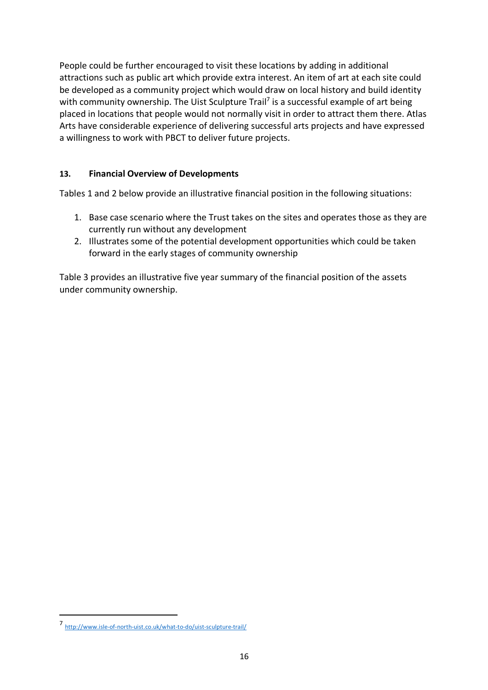People could be further encouraged to visit these locations by adding in additional attractions such as public art which provide extra interest. An item of art at each site could be developed as a community project which would draw on local history and build identity with community ownership. The Uist Sculpture Trail<sup>7</sup> is a successful example of art being placed in locations that people would not normally visit in order to attract them there. Atlas Arts have considerable experience of delivering successful arts projects and have expressed a willingness to work with PBCT to deliver future projects.

### **13. Financial Overview of Developments**

Tables 1 and 2 below provide an illustrative financial position in the following situations:

- 1. Base case scenario where the Trust takes on the sites and operates those as they are currently run without any development
- 2. Illustrates some of the potential development opportunities which could be taken forward in the early stages of community ownership

Table 3 provides an illustrative five year summary of the financial position of the assets under community ownership.

 <sup>7</sup> http://www.isle-of-north-uist.co.uk/what-to-do/uist-sculpture-trail/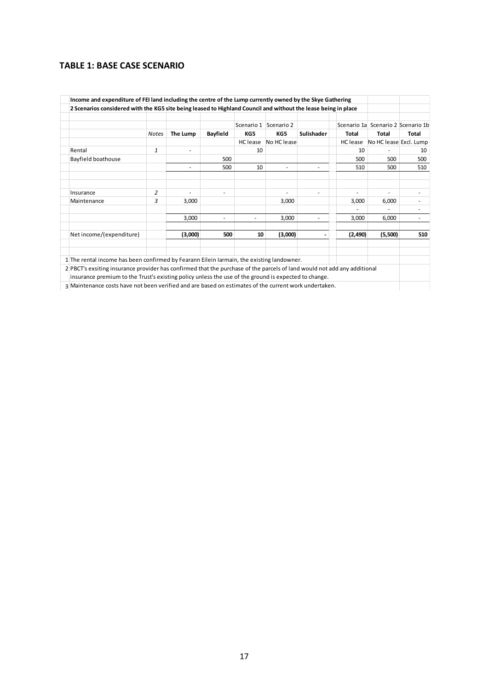#### **TABLE 1: BASE CASE SCENARIO**

| Income and expenditure of FEI land including the centre of the Lump currently owned by the Skye Gathering                |                                                                                                      |          |                 |            |             |            |                |                                     |       |
|--------------------------------------------------------------------------------------------------------------------------|------------------------------------------------------------------------------------------------------|----------|-----------------|------------|-------------|------------|----------------|-------------------------------------|-------|
| 2 Scenarios considered with the KG5 site being leased to Highland Council and without the lease being in place           |                                                                                                      |          |                 |            |             |            |                |                                     |       |
|                                                                                                                          |                                                                                                      |          |                 |            |             |            |                |                                     |       |
|                                                                                                                          |                                                                                                      |          |                 | Scenario 1 | Scenario 2  |            |                | Scenario 1al Scenario 2 Scenario 1b |       |
|                                                                                                                          | <b>Notes</b>                                                                                         | The Lump | <b>Bayfield</b> | KG5        | KG5         | Sulishader | <b>Total</b>   | <b>Total</b>                        | Total |
|                                                                                                                          |                                                                                                      |          |                 | HC lease   | No HC lease |            | HC lease       | No HC lease Excl. Lump              |       |
| Rental                                                                                                                   | 1                                                                                                    | ٠        |                 | 10         |             |            | 10             |                                     | 10    |
| Bayfield boathouse                                                                                                       |                                                                                                      |          | 500             |            |             |            | 500            | 500                                 | 500   |
|                                                                                                                          |                                                                                                      |          | 500             | 10         |             |            | 510            | 500                                 | 510   |
|                                                                                                                          |                                                                                                      |          |                 |            |             |            |                |                                     |       |
|                                                                                                                          |                                                                                                      |          |                 |            |             |            |                |                                     |       |
| Insurance                                                                                                                | 2                                                                                                    | $\sim$   | ٠               |            | ٠           | ٠          | $\blacksquare$ | ٠                                   | ۰     |
| Maintenance                                                                                                              | 3                                                                                                    | 3,000    |                 |            | 3,000       |            | 3,000          | 6,000                               |       |
|                                                                                                                          |                                                                                                      |          |                 |            |             |            |                |                                     |       |
|                                                                                                                          |                                                                                                      | 3,000    |                 |            | 3,000       |            | 3,000          | 6,000                               | ۰     |
|                                                                                                                          |                                                                                                      |          |                 |            |             |            |                |                                     |       |
| Net income/(expenditure)                                                                                                 |                                                                                                      | (3,000)  | 500             | 10         | (3,000)     |            | (2,490)        | (5,500)                             | 510   |
|                                                                                                                          |                                                                                                      |          |                 |            |             |            |                |                                     |       |
|                                                                                                                          |                                                                                                      |          |                 |            |             |            |                |                                     |       |
| 1 The rental income has been confirmed by Fearann Eilein Iarmain, the existing landowner.                                |                                                                                                      |          |                 |            |             |            |                |                                     |       |
| 2 PBCT's exsiting insurance provider has confirmed that the purchase of the parcels of land would not add any additional |                                                                                                      |          |                 |            |             |            |                |                                     |       |
|                                                                                                                          | insurance premium to the Trust's existing policy unless the use of the ground is expected to change. |          |                 |            |             |            |                |                                     |       |
| 3 Maintenance costs have not been verified and are based on estimates of the current work undertaken.                    |                                                                                                      |          |                 |            |             |            |                |                                     |       |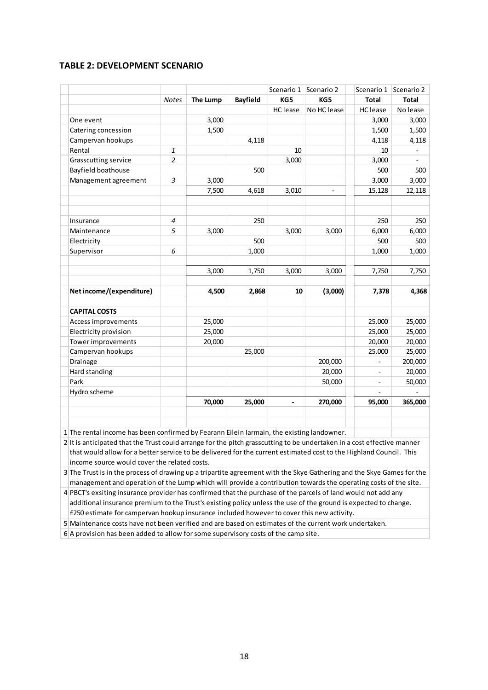#### **TABLE 2: DEVELOPMENT SCENARIO**

|                          |                |          |                 | Scenario 1 Scenario 2 |                | Scenario 1 Scenario 2 |              |
|--------------------------|----------------|----------|-----------------|-----------------------|----------------|-----------------------|--------------|
|                          | <b>Notes</b>   | The Lump | <b>Bayfield</b> | KG5                   | KG5            | <b>Total</b>          | <b>Total</b> |
|                          |                |          |                 | <b>HC</b> lease       | No HC lease    | <b>HC</b> lease       | No lease     |
| One event                |                | 3,000    |                 |                       |                | 3,000                 | 3,000        |
| Catering concession      |                | 1,500    |                 |                       |                | 1,500                 | 1,500        |
| Campervan hookups        |                |          | 4,118           |                       |                | 4,118                 | 4,118        |
| Rental                   | $\mathbf{1}$   |          |                 | 10                    |                | 10                    |              |
| Grasscutting service     | $\overline{2}$ |          |                 | 3,000                 |                | 3,000                 | ÷,           |
| Bayfield boathouse       |                |          | 500             |                       |                | 500                   | 500          |
| Management agreement     | 3              | 3,000    |                 |                       |                | 3,000                 | 3,000        |
|                          |                | 7,500    | 4,618           | 3,010                 | $\overline{a}$ | 15,128                | 12,118       |
|                          |                |          |                 |                       |                |                       |              |
|                          |                |          |                 |                       |                |                       |              |
| Insurance                | $\overline{4}$ |          | 250             |                       |                | 250                   | 250          |
| Maintenance              | 5              | 3,000    |                 | 3,000                 | 3,000          | 6,000                 | 6,000        |
| Electricity              |                |          | 500             |                       |                | 500                   | 500          |
| Supervisor               | 6              |          | 1,000           |                       |                | 1,000                 | 1,000        |
|                          |                |          |                 |                       |                |                       |              |
|                          |                | 3,000    | 1,750           | 3,000                 | 3,000          | 7,750                 | 7,750        |
|                          |                |          |                 |                       |                |                       |              |
| Net income/(expenditure) |                | 4,500    | 2,868           | 10                    | (3,000)        | 7,378                 | 4,368        |
| <b>CAPITAL COSTS</b>     |                |          |                 |                       |                |                       |              |
| Access improvements      |                | 25,000   |                 |                       |                | 25,000                | 25,000       |
| Electricity provision    |                | 25,000   |                 |                       |                | 25,000                | 25,000       |
| Tower improvements       |                | 20,000   |                 |                       |                | 20,000                | 20,000       |
| Campervan hookups        |                |          | 25,000          |                       |                | 25,000                | 25,000       |
| Drainage                 |                |          |                 |                       | 200,000        |                       | 200,000      |
| Hard standing            |                |          |                 |                       | 20,000         |                       | 20,000       |
| Park                     |                |          |                 |                       | 50,000         | 4                     | 50,000       |
| Hydro scheme             |                |          |                 |                       |                |                       |              |
|                          |                | 70,000   | 25,000          | $\frac{1}{2}$         | 270,000        | 95,000                | 365,000      |
|                          |                |          |                 |                       |                |                       |              |
|                          |                |          |                 |                       |                |                       |              |

1 The rental income has been confirmed by Fearann Eilein Iarmain, the existing landowner.

2 It is anticipated that the Trust could arrange for the pitch grasscutting to be undertaken in a cost effective manner that would allow for a better service to be delivered for the current estimated cost to the Highland Council. This income source would cover the related costs.

3 The Trust is in the process of drawing up a tripartite agreement with the Skye Gathering and the Skye Games for the management and operation of the Lump which will provide a contribution towards the operating costs of the site.

4 PBCT's exsiting insurance provider has confirmed that the purchase of the parcels of land would not add any additional insurance premium to the Trust's existing policy unless the use of the ground is expected to change. £250 estimate for campervan hookup insurance included however to cover this new activity.

5 Maintenance costs have not been verified and are based on estimates of the current work undertaken.

6 A provision has been added to allow for some supervisory costs of the camp site.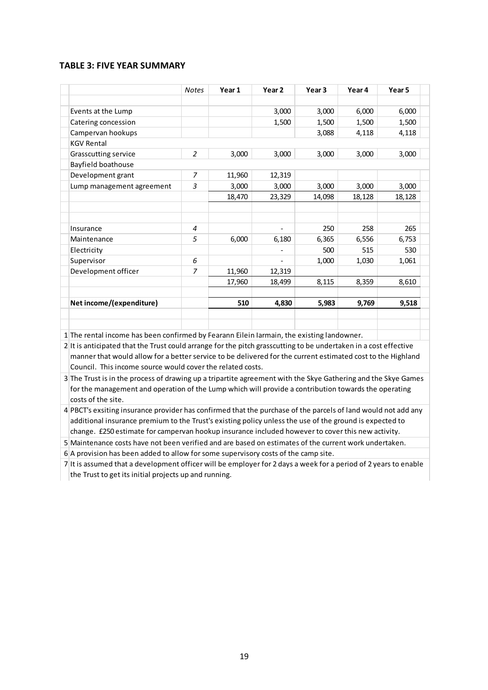#### **TABLE 3: FIVE YEAR SUMMARY**

|                           | <b>Notes</b>   | Year 1 | Year <sub>2</sub>        | Year <sub>3</sub> | Year 4 | Year <sub>5</sub> |  |
|---------------------------|----------------|--------|--------------------------|-------------------|--------|-------------------|--|
|                           |                |        |                          |                   |        |                   |  |
| Events at the Lump        |                |        | 3,000                    | 3,000             | 6,000  | 6,000             |  |
| Catering concession       |                |        | 1,500                    | 1,500             | 1,500  | 1,500             |  |
| Campervan hookups         |                |        |                          | 3,088             | 4,118  | 4,118             |  |
| <b>KGV Rental</b>         |                |        |                          |                   |        |                   |  |
| Grasscutting service      | $\overline{2}$ | 3,000  | 3,000                    | 3,000             | 3,000  | 3,000             |  |
| Bayfield boathouse        |                |        |                          |                   |        |                   |  |
| Development grant         | $\overline{7}$ | 11,960 | 12,319                   |                   |        |                   |  |
| Lump management agreement | 3              | 3,000  | 3,000                    | 3,000             | 3,000  | 3,000             |  |
|                           |                | 18,470 | 23,329                   | 14,098            | 18,128 | 18,128            |  |
|                           |                |        |                          |                   |        |                   |  |
|                           |                |        |                          |                   |        |                   |  |
| Insurance                 | 4              |        |                          | 250               | 258    | 265               |  |
| Maintenance               | 5              | 6,000  | 6,180                    | 6,365             | 6,556  | 6,753             |  |
| Electricity               |                |        |                          | 500               | 515    | 530               |  |
| Supervisor                | 6              |        | $\overline{\phantom{a}}$ | 1,000             | 1,030  | 1,061             |  |
| Development officer       | $\overline{7}$ | 11,960 | 12,319                   |                   |        |                   |  |
|                           |                | 17,960 | 18,499                   | 8,115             | 8,359  | 8,610             |  |
|                           |                |        |                          |                   |        |                   |  |
| Net income/(expenditure)  |                | 510    | 4,830                    | 5,983             | 9,769  | 9,518             |  |
|                           |                |        |                          |                   |        |                   |  |
|                           |                |        |                          |                   |        |                   |  |

1 The rental income has been confirmed by Fearann Eilein Iarmain, the existing landowner.

2 It is anticipated that the Trust could arrange for the pitch grasscutting to be undertaken in a cost effective manner that would allow for a better service to be delivered for the current estimated cost to the Highland Council. This income source would cover the related costs.

3 The Trust is in the process of drawing up a tripartite agreement with the Skye Gathering and the Skye Games for the management and operation of the Lump which will provide a contribution towards the operating costs of the site.

4 PBCT's exsiting insurance provider has confirmed that the purchase of the parcels of land would not add any additional insurance premium to the Trust's existing policy unless the use of the ground is expected to change. £250 estimate for campervan hookup insurance included however to cover this new activity.

5 Maintenance costs have not been verified and are based on estimates of the current work undertaken.

6 A provision has been added to allow for some supervisory costs of the camp site.

7 It is assumed that a development officer will be employer for 2 days a week for a period of 2 years to enable the Trust to get its initial projects up and running.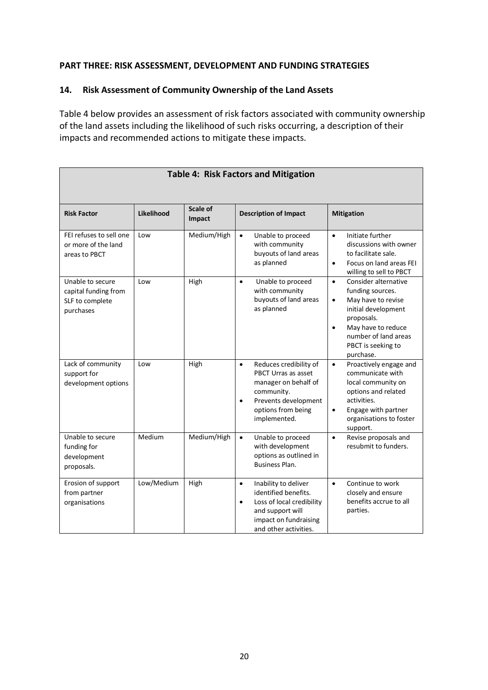#### **PART THREE: RISK ASSESSMENT, DEVELOPMENT AND FUNDING STRATEGIES**

#### **14. Risk Assessment of Community Ownership of the Land Assets**

Table 4 below provides an assessment of risk factors associated with community ownership of the land assets including the likelihood of such risks occurring, a description of their impacts and recommended actions to mitigate these impacts.

| <b>Table 4: Risk Factors and Mitigation</b>                              |            |                    |                                                                                                                                                                             |                                                                                                                                                                                                                             |  |  |  |  |
|--------------------------------------------------------------------------|------------|--------------------|-----------------------------------------------------------------------------------------------------------------------------------------------------------------------------|-----------------------------------------------------------------------------------------------------------------------------------------------------------------------------------------------------------------------------|--|--|--|--|
| <b>Risk Factor</b>                                                       | Likelihood | Scale of<br>Impact | <b>Description of Impact</b>                                                                                                                                                | <b>Mitigation</b>                                                                                                                                                                                                           |  |  |  |  |
| FEI refuses to sell one<br>or more of the land<br>areas to PBCT          | Low        | Medium/High        | Unable to proceed<br>$\bullet$<br>with community<br>buyouts of land areas<br>as planned                                                                                     | Initiate further<br>$\bullet$<br>discussions with owner<br>to facilitate sale.<br>Focus on land areas FEI<br>$\bullet$<br>willing to sell to PBCT                                                                           |  |  |  |  |
| Unable to secure<br>capital funding from<br>SLF to complete<br>purchases | Low        | High               | Unable to proceed<br>$\bullet$<br>with community<br>buyouts of land areas<br>as planned                                                                                     | Consider alternative<br>$\bullet$<br>funding sources.<br>May have to revise<br>$\bullet$<br>initial development<br>proposals.<br>May have to reduce<br>$\bullet$<br>number of land areas<br>PBCT is seeking to<br>purchase. |  |  |  |  |
| Lack of community<br>support for<br>development options                  | Low        | High               | Reduces credibility of<br>$\bullet$<br>PBCT Urras as asset<br>manager on behalf of<br>community.<br>Prevents development<br>$\bullet$<br>options from being<br>implemented. | Proactively engage and<br>$\bullet$<br>communicate with<br>local community on<br>options and related<br>activities.<br>Engage with partner<br>$\bullet$<br>organisations to foster<br>support.                              |  |  |  |  |
| Unable to secure<br>funding for<br>development<br>proposals.             | Medium     | Medium/High        | Unable to proceed<br>$\bullet$<br>with development<br>options as outlined in<br><b>Business Plan.</b>                                                                       | Revise proposals and<br>$\bullet$<br>resubmit to funders.                                                                                                                                                                   |  |  |  |  |
| Erosion of support<br>from partner<br>organisations                      | Low/Medium | High               | Inability to deliver<br>$\bullet$<br>identified benefits.<br>Loss of local credibility<br>$\bullet$<br>and support will<br>impact on fundraising<br>and other activities.   | Continue to work<br>$\bullet$<br>closely and ensure<br>benefits accrue to all<br>parties.                                                                                                                                   |  |  |  |  |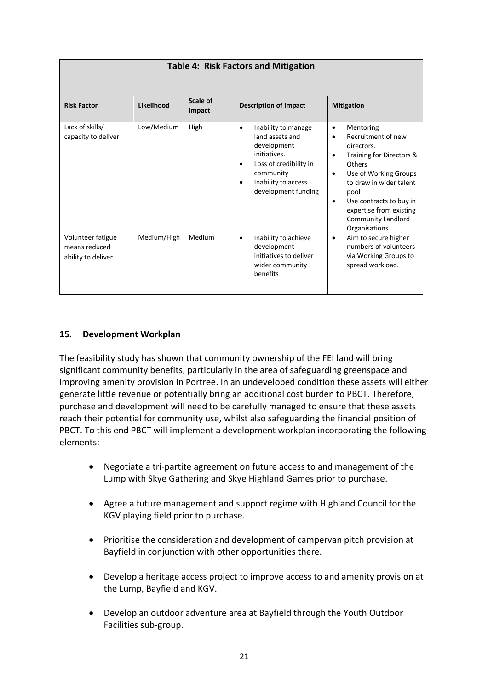| <b>Table 4: Risk Factors and Mitigation</b>               |             |                    |                                                                                                                                                                                           |                                                                                                                                                                                                                                                                                               |  |  |  |  |
|-----------------------------------------------------------|-------------|--------------------|-------------------------------------------------------------------------------------------------------------------------------------------------------------------------------------------|-----------------------------------------------------------------------------------------------------------------------------------------------------------------------------------------------------------------------------------------------------------------------------------------------|--|--|--|--|
| <b>Risk Factor</b>                                        | Likelihood  | Scale of<br>Impact | <b>Description of Impact</b>                                                                                                                                                              | <b>Mitigation</b>                                                                                                                                                                                                                                                                             |  |  |  |  |
| Lack of skills/<br>capacity to deliver                    | Low/Medium  | High               | Inability to manage<br>$\bullet$<br>land assets and<br>development<br>initiatives.<br>Loss of credibility in<br>٠<br>community<br>Inability to access<br>$\bullet$<br>development funding | Mentoring<br>٠<br>Recruitment of new<br>$\bullet$<br>directors.<br>Training for Directors &<br>$\bullet$<br>Others<br>Use of Working Groups<br>$\bullet$<br>to draw in wider talent<br>pool<br>Use contracts to buy in<br>٠<br>expertise from existing<br>Community Landlord<br>Organisations |  |  |  |  |
| Volunteer fatigue<br>means reduced<br>ability to deliver. | Medium/High | Medium             | Inability to achieve<br>$\bullet$<br>development<br>initiatives to deliver<br>wider community<br>benefits                                                                                 | Aim to secure higher<br>$\bullet$<br>numbers of volunteers<br>via Working Groups to<br>spread workload.                                                                                                                                                                                       |  |  |  |  |

### **15. Development Workplan**

The feasibility study has shown that community ownership of the FEI land will bring significant community benefits, particularly in the area of safeguarding greenspace and improving amenity provision in Portree. In an undeveloped condition these assets will either generate little revenue or potentially bring an additional cost burden to PBCT. Therefore, purchase and development will need to be carefully managed to ensure that these assets reach their potential for community use, whilst also safeguarding the financial position of PBCT. To this end PBCT will implement a development workplan incorporating the following elements:

- Negotiate a tri-partite agreement on future access to and management of the Lump with Skye Gathering and Skye Highland Games prior to purchase.
- Agree a future management and support regime with Highland Council for the KGV playing field prior to purchase.
- Prioritise the consideration and development of campervan pitch provision at Bayfield in conjunction with other opportunities there.
- Develop a heritage access project to improve access to and amenity provision at the Lump, Bayfield and KGV.
- Develop an outdoor adventure area at Bayfield through the Youth Outdoor Facilities sub-group.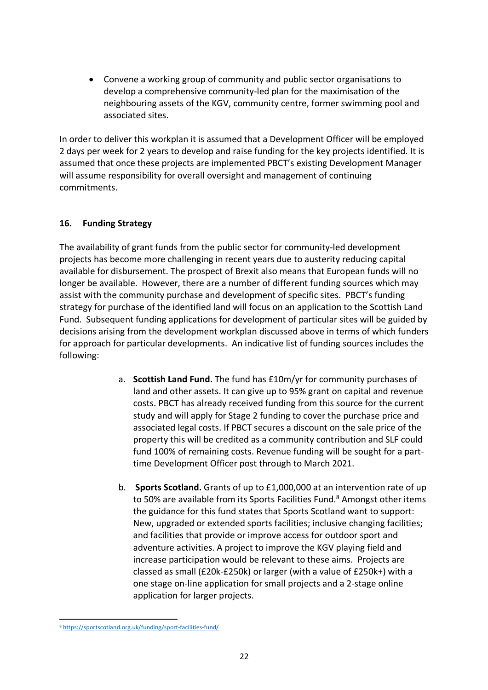• Convene a working group of community and public sector organisations to develop a comprehensive community-led plan for the maximisation of the neighbouring assets of the KGV, community centre, former swimming pool and associated sites.

In order to deliver this workplan it is assumed that a Development Officer will be employed 2 days per week for 2 years to develop and raise funding for the key projects identified. It is assumed that once these projects are implemented PBCT's existing Development Manager will assume responsibility for overall oversight and management of continuing commitments.

### **16. Funding Strategy**

The availability of grant funds from the public sector for community-led development projects has become more challenging in recent years due to austerity reducing capital available for disbursement. The prospect of Brexit also means that European funds will no longer be available. However, there are a number of different funding sources which may assist with the community purchase and development of specific sites. PBCT's funding strategy for purchase of the identified land will focus on an application to the Scottish Land Fund. Subsequent funding applications for development of particular sites will be guided by decisions arising from the development workplan discussed above in terms of which funders for approach for particular developments. An indicative list of funding sources includes the following:

- a. **Scottish Land Fund.** The fund has £10m/yr for community purchases of land and other assets. It can give up to 95% grant on capital and revenue costs. PBCT has already received funding from this source for the current study and will apply for Stage 2 funding to cover the purchase price and associated legal costs. If PBCT secures a discount on the sale price of the property this will be credited as a community contribution and SLF could fund 100% of remaining costs. Revenue funding will be sought for a parttime Development Officer post through to March 2021.
- b. **Sports Scotland.** Grants of up to £1,000,000 at an intervention rate of up to 50% are available from its Sports Facilities Fund.<sup>8</sup> Amongst other items the guidance for this fund states that Sports Scotland want to support: New, upgraded or extended sports facilities; inclusive changing facilities; and facilities that provide or improve access for outdoor sport and adventure activities. A project to improve the KGV playing field and increase participation would be relevant to these aims. Projects are classed as small (£20k-£250k) or larger (with a value of £250k+) with a one stage on-line application for small projects and a 2-stage online application for larger projects.

 <sup>8</sup> https://sportscotland.org.uk/funding/sport-facilities-fund/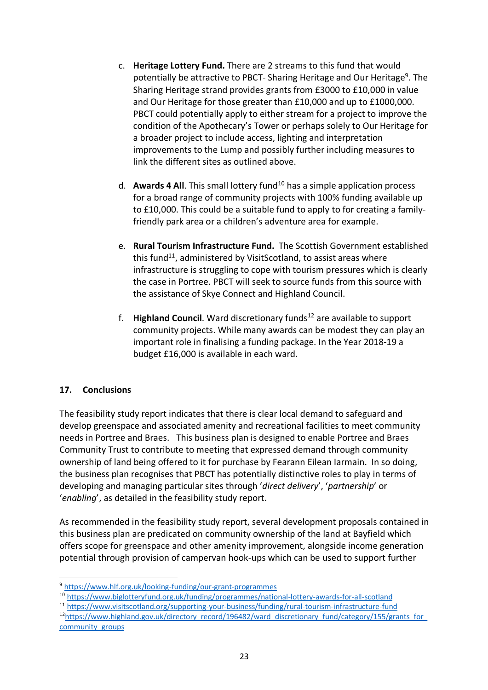- c. **Heritage Lottery Fund.** There are 2 streams to this fund that would potentially be attractive to PBCT- Sharing Heritage and Our Heritage<sup>9</sup>. The Sharing Heritage strand provides grants from £3000 to £10,000 in value and Our Heritage for those greater than £10,000 and up to £1000,000. PBCT could potentially apply to either stream for a project to improve the condition of the Apothecary's Tower or perhaps solely to Our Heritage for a broader project to include access, lighting and interpretation improvements to the Lump and possibly further including measures to link the different sites as outlined above.
- d. **Awards 4 All**. This small lottery fund<sup>10</sup> has a simple application process for a broad range of community projects with 100% funding available up to £10,000. This could be a suitable fund to apply to for creating a familyfriendly park area or a children's adventure area for example.
- e. **Rural Tourism Infrastructure Fund.** The Scottish Government established this fund<sup>11</sup>, administered by VisitScotland, to assist areas where infrastructure is struggling to cope with tourism pressures which is clearly the case in Portree. PBCT will seek to source funds from this source with the assistance of Skye Connect and Highland Council.
- f. **Highland Council**. Ward discretionary funds12 are available to support community projects. While many awards can be modest they can play an important role in finalising a funding package. In the Year 2018-19 a budget £16,000 is available in each ward.

## **17. Conclusions**

The feasibility study report indicates that there is clear local demand to safeguard and develop greenspace and associated amenity and recreational facilities to meet community needs in Portree and Braes. This business plan is designed to enable Portree and Braes Community Trust to contribute to meeting that expressed demand through community ownership of land being offered to it for purchase by Fearann Eilean Iarmain. In so doing, the business plan recognises that PBCT has potentially distinctive roles to play in terms of developing and managing particular sites through '*direct delivery*', '*partnership*' or '*enabling*', as detailed in the feasibility study report.

As recommended in the feasibility study report, several development proposals contained in this business plan are predicated on community ownership of the land at Bayfield which offers scope for greenspace and other amenity improvement, alongside income generation potential through provision of campervan hook-ups which can be used to support further

- <sup>10</sup> https://www.biglotteryfund.org.uk/funding/programmes/national-lottery-awards-for-all-scotland
- <sup>11</sup> https://www.visitscotland.org/supporting-your-business/funding/rural-tourism-infrastructure-fund <sup>12</sup>https://www.highland.gov.uk/directory\_record/196482/ward\_discretionary\_fund/category/155/grants\_for community\_groups

 <sup>9</sup> https://www.hlf.org.uk/looking-funding/our-grant-programmes